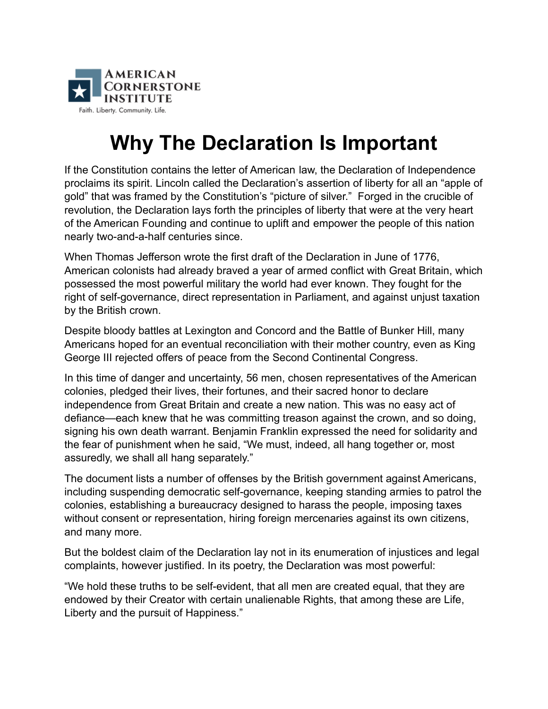

## **Why The Declaration Is Important**

If the Constitution contains the letter of American law, the Declaration of Independence proclaims its spirit. Lincoln called the Declaration's assertion of liberty for all an "apple of gold" that was framed by the Constitution's "picture of silver." Forged in the crucible of revolution, the Declaration lays forth the principles of liberty that were at the very heart of the American Founding and continue to uplift and empower the people of this nation nearly two-and-a-half centuries since.

When Thomas Jefferson wrote the first draft of the Declaration in June of 1776, American colonists had already braved a year of armed conflict with Great Britain, which possessed the most powerful military the world had ever known. They fought for the right of self-governance, direct representation in Parliament, and against unjust taxation by the British crown.

Despite bloody battles at Lexington and Concord and the Battle of Bunker Hill, many Americans hoped for an eventual reconciliation with their mother country, even as King George III rejected offers of peace from the Second Continental Congress.

In this time of danger and uncertainty, 56 men, chosen representatives of the American colonies, pledged their lives, their fortunes, and their sacred honor to declare independence from Great Britain and create a new nation. This was no easy act of defiance—each knew that he was committing treason against the crown, and so doing, signing his own death warrant. Benjamin Franklin expressed the need for solidarity and the fear of punishment when he said, "We must, indeed, all hang together or, most assuredly, we shall all hang separately."

The document lists a number of offenses by the British government against Americans, including suspending democratic self-governance, keeping standing armies to patrol the colonies, establishing a bureaucracy designed to harass the people, imposing taxes without consent or representation, hiring foreign mercenaries against its own citizens, and many more.

But the boldest claim of the Declaration lay not in its enumeration of injustices and legal complaints, however justified. In its poetry, the Declaration was most powerful:

"We hold these truths to be self-evident, that all men are created equal, that they are endowed by their Creator with certain unalienable Rights, that among these are Life, Liberty and the pursuit of Happiness."